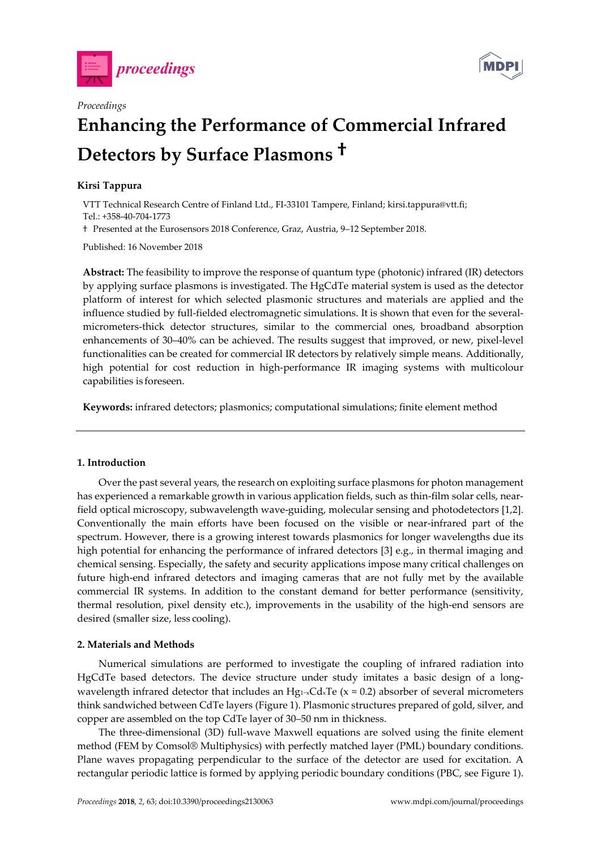



# **Enhancing the Performance of Commercial Infrared Detectors by Surface Plasmons †**

# **Kirsi Tappura**

*Proceedings* 

VTT Technical Research Centre of Finland Ltd., FI-33101 Tampere, Finland; kirsi.tappura@vtt.fi; Tel.: +358-40-704-1773

† Presented at the Eurosensors 2018 Conference, Graz, Austria, 9–12 September 2018.

Published: 16 November 2018

**Abstract:** The feasibility to improve the response of quantum type (photonic) infrared (IR) detectors by applying surface plasmons is investigated. The HgCdTe material system is used as the detector platform of interest for which selected plasmonic structures and materials are applied and the influence studied by full-fielded electromagnetic simulations. It is shown that even for the severalmicrometers-thick detector structures, similar to the commercial ones, broadband absorption enhancements of 30–40% can be achieved. The results suggest that improved, or new, pixel-level functionalities can be created for commercial IR detectors by relatively simple means. Additionally, high potential for cost reduction in high-performance IR imaging systems with multicolour capabilities is foreseen.

**Keywords:** infrared detectors; plasmonics; computational simulations; finite element method

### **1. Introduction**

Over the past several years, the research on exploiting surface plasmons for photon management has experienced a remarkable growth in various application fields, such as thin-film solar cells, nearfield optical microscopy, subwavelength wave-guiding, molecular sensing and photodetectors [1,2]. Conventionally the main efforts have been focused on the visible or near-infrared part of the spectrum. However, there is a growing interest towards plasmonics for longer wavelengths due its high potential for enhancing the performance of infrared detectors [3] e.g., in thermal imaging and chemical sensing. Especially, the safety and security applications impose many critical challenges on future high-end infrared detectors and imaging cameras that are not fully met by the available commercial IR systems. In addition to the constant demand for better performance (sensitivity, thermal resolution, pixel density etc.), improvements in the usability of the high-end sensors are desired (smaller size, less cooling).

# **2. Materials and Methods**

Numerical simulations are performed to investigate the coupling of infrared radiation into HgCdTe based detectors. The device structure under study imitates a basic design of a longwavelength infrared detector that includes an Hg<sub>1</sub><sub>~x</sub>Cd<sub>x</sub>Te (x ≈ 0.2) absorber of several micrometers think sandwiched between CdTe layers (Figure 1). Plasmonic structures prepared of gold, silver, and copper are assembled on the top CdTe layer of 30–50 nm in thickness.

The three-dimensional (3D) full-wave Maxwell equations are solved using the finite element method (FEM by Comsol® Multiphysics) with perfectly matched layer (PML) boundary conditions. Plane waves propagating perpendicular to the surface of the detector are used for excitation. A rectangular periodic lattice is formed by applying periodic boundary conditions (PBC, see Figure 1).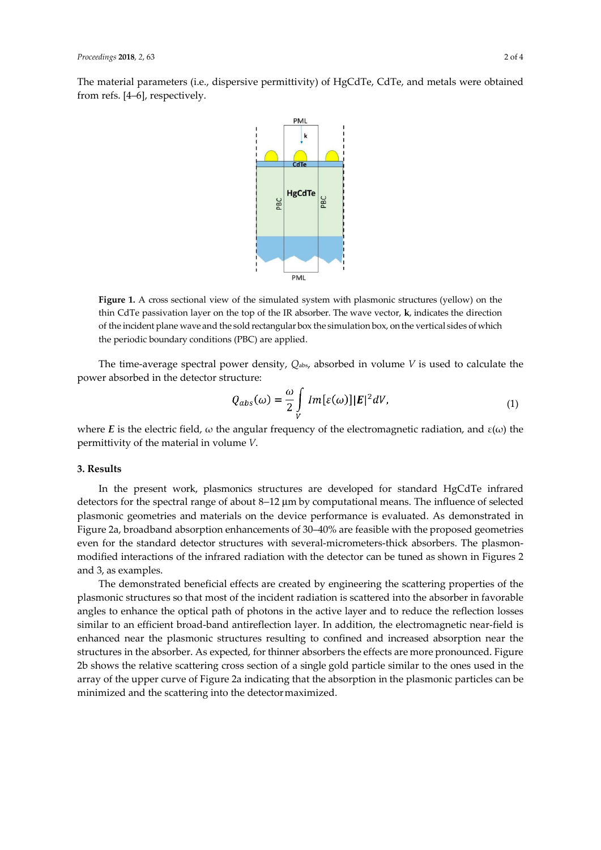The material parameters (i.e., dispersive permittivity) of HgCdTe, CdTe, and metals were obtained from refs. [4–6], respectively.



**Figure 1.** A cross sectional view of the simulated system with plasmonic structures (yellow) on the thin CdTe passivation layer on the top of the IR absorber. The wave vector, **k**, indicates the direction of the incident plane wave and the sold rectangular box the simulation box, on the vertical sides of which the periodic boundary conditions (PBC) are applied.

The time-average spectral power density, *Q*abs, absorbed in volume *V* is used to calculate the power absorbed in the detector structure:

$$
Q_{abs}(\omega) = \frac{\omega}{2} \int\limits_V Im[\varepsilon(\omega)] |\mathbf{E}|^2 dV, \tag{1}
$$

where *E* is the electric field,  $\omega$  the angular frequency of the electromagnetic radiation, and  $\varepsilon(\omega)$  the permittivity of the material in volume *V*.

#### **3. Results**

In the present work, plasmonics structures are developed for standard HgCdTe infrared detectors for the spectral range of about 8−12 μm by computational means. The influence of selected plasmonic geometries and materials on the device performance is evaluated. As demonstrated in Figure 2a, broadband absorption enhancements of 30–40% are feasible with the proposed geometries even for the standard detector structures with several-micrometers-thick absorbers. The plasmonmodified interactions of the infrared radiation with the detector can be tuned as shown in Figures 2 and 3, as examples.

The demonstrated beneficial effects are created by engineering the scattering properties of the plasmonic structures so that most of the incident radiation is scattered into the absorber in favorable angles to enhance the optical path of photons in the active layer and to reduce the reflection losses similar to an efficient broad-band antireflection layer. In addition, the electromagnetic near-field is enhanced near the plasmonic structures resulting to confined and increased absorption near the structures in the absorber. As expected, for thinner absorbers the effects are more pronounced. Figure 2b shows the relative scattering cross section of a single gold particle similar to the ones used in the array of the upper curve of Figure 2a indicating that the absorption in the plasmonic particles can be minimized and the scattering into the detector maximized.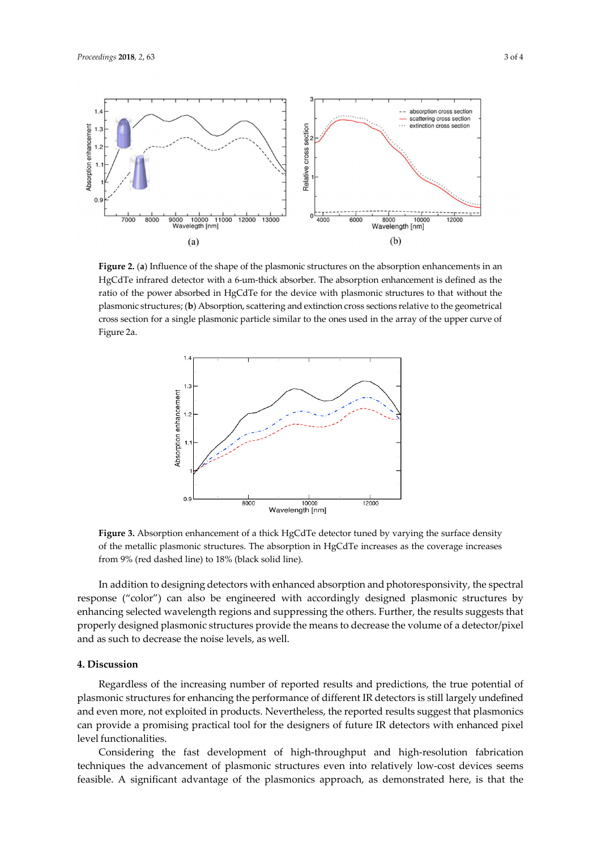

**Figure 2.** (**a**) Influence of the shape of the plasmonic structures on the absorption enhancements in an HgCdTe infrared detector with a 6-um-thick absorber. The absorption enhancement is defined as the ratio of the power absorbed in HgCdTe for the device with plasmonic structures to that without the plasmonic structures; (**b**) Absorption, scattering and extinction cross sections relative to the geometrical cross section for a single plasmonic particle similar to the ones used in the array of the upper curve of Figure 2a.



**Figure 3.** Absorption enhancement of a thick HgCdTe detector tuned by varying the surface density of the metallic plasmonic structures. The absorption in HgCdTe increases as the coverage increases from 9% (red dashed line) to 18% (black solid line).

In addition to designing detectors with enhanced absorption and photoresponsivity, the spectral response ("color") can also be engineered with accordingly designed plasmonic structures by enhancing selected wavelength regions and suppressing the others. Further, the results suggests that properly designed plasmonic structures provide the means to decrease the volume of a detector/pixel and as such to decrease the noise levels, as well.

#### **4. Discussion**

Regardless of the increasing number of reported results and predictions, the true potential of plasmonic structures for enhancing the performance of different IR detectors is still largely undefined and even more, not exploited in products. Nevertheless, the reported results suggest that plasmonics can provide a promising practical tool for the designers of future IR detectors with enhanced pixel level functionalities.

Considering the fast development of high-throughput and high-resolution fabrication techniques the advancement of plasmonic structures even into relatively low-cost devices seems feasible. A significant advantage of the plasmonics approach, as demonstrated here, is that the